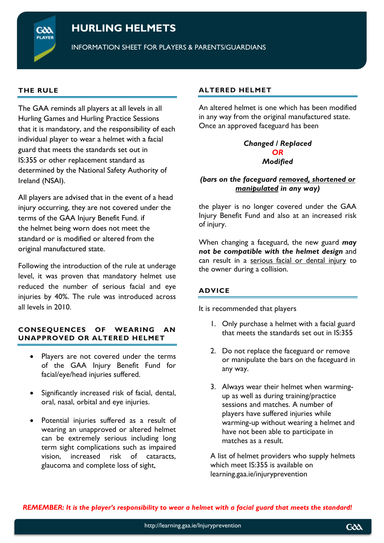# **HURLING HELMETS**

INFORMATION SHEET FOR PLAYERS & PARENTS/GUARDIANS

## **THE RULE**

GXX

The GAA reminds all players at all levels in all Hurling Games and Hurling Practice Sessions that it is mandatory, and the responsibility of each individual player to wear a helmet with a facial guard that meets the standards set out in IS:355 or other replacement standard as determined by the National Safety Authority of Ireland (NSAI).

All players are advised that in the event of a head injury occurring, they are not covered under the terms of the GAA Injury Benefit Fund. if the helmet being worn does not meet the standard or is modified or altered from the original manufactured state.

Following the introduction of the rule at underage level, it was proven that mandatory helmet use reduced the number of serious facial and eye injuries by 40%. The rule was introduced across all levels in 2010.

#### **CONSEQUENCES OF WEARING AN UNAPPROVED OR ALTERED HELMET**

- Players are not covered under the terms of the GAA Injury Benefit Fund for facial/eye/head injuries suffered.
- Significantly increased risk of facial, dental, oral, nasal, orbital and eye injuries.
- Potential injuries suffered as a result of wearing an unapproved or altered helmet can be extremely serious including long term sight complications such as impaired vision, increased risk of cataracts, glaucoma and complete loss of sight,

# **ALTERED HELMET**

An altered helmet is one which has been modified in any way from the original manufactured state. Once an approved faceguard has been

#### *Changed / Replaced OR Modified*

# *(bars on the faceguard removed, shortened or manipulated in any way)*

the player is no longer covered under the GAA Injury Benefit Fund and also at an increased risk of injury.

When changing a faceguard, the new guard *may not be compatible with the helmet design* and can result in a serious facial or dental injury to the owner during a collision.

#### **ADVICE**

It is recommended that players

- 1. Only purchase a helmet with a facial guard that meets the standards set out in IS:355
- 2. Do not replace the faceguard or remove or manipulate the bars on the faceguard in any way.
- 3. Always wear their helmet when warmingup as well as during training/practice sessions and matches. A number of players have suffered injuries while warming-up without wearing a helmet and have not been able to participate in matches as a result.

A list of helmet providers who supply helmets which meet IS:355 is available on learning.gaa.ie/injuryprevention

*REMEMBER: It is the player's responsibility to wear a helmet with a facial guard that meets the standard!*